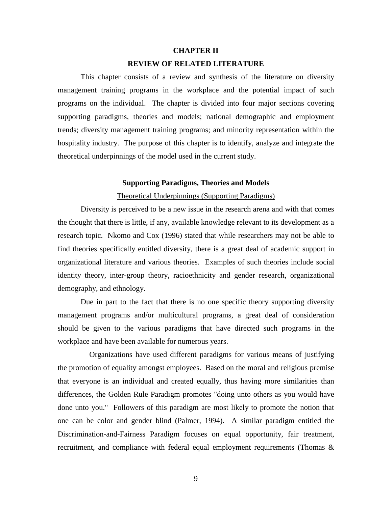#### **CHAPTER II**

#### **REVIEW OF RELATED LITERATURE**

This chapter consists of a review and synthesis of the literature on diversity management training programs in the workplace and the potential impact of such programs on the individual. The chapter is divided into four major sections covering supporting paradigms, theories and models; national demographic and employment trends; diversity management training programs; and minority representation within the hospitality industry. The purpose of this chapter is to identify, analyze and integrate the theoretical underpinnings of the model used in the current study.

#### **Supporting Paradigms, Theories and Models**

#### Theoretical Underpinnings (Supporting Paradigms)

Diversity is perceived to be a new issue in the research arena and with that comes the thought that there is little, if any, available knowledge relevant to its development as a research topic. Nkomo and Cox (1996) stated that while researchers may not be able to find theories specifically entitled diversity, there is a great deal of academic support in organizational literature and various theories. Examples of such theories include social identity theory, inter-group theory, racioethnicity and gender research, organizational demography, and ethnology.

Due in part to the fact that there is no one specific theory supporting diversity management programs and/or multicultural programs, a great deal of consideration should be given to the various paradigms that have directed such programs in the workplace and have been available for numerous years.

Organizations have used different paradigms for various means of justifying the promotion of equality amongst employees. Based on the moral and religious premise that everyone is an individual and created equally, thus having more similarities than differences, the Golden Rule Paradigm promotes "doing unto others as you would have done unto you." Followers of this paradigm are most likely to promote the notion that one can be color and gender blind (Palmer, 1994). A similar paradigm entitled the Discrimination-and-Fairness Paradigm focuses on equal opportunity, fair treatment, recruitment, and compliance with federal equal employment requirements (Thomas &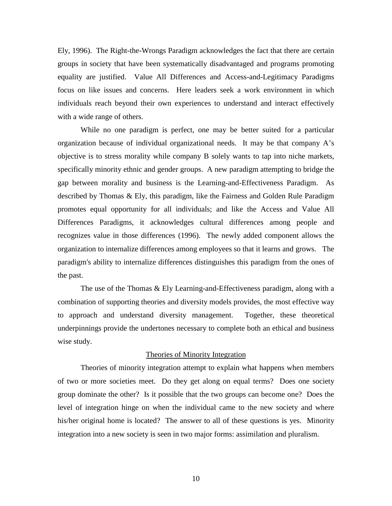Ely, 1996). The Right-the-Wrongs Paradigm acknowledges the fact that there are certain groups in society that have been systematically disadvantaged and programs promoting equality are justified. Value All Differences and Access-and-Legitimacy Paradigms focus on like issues and concerns. Here leaders seek a work environment in which individuals reach beyond their own experiences to understand and interact effectively with a wide range of others.

While no one paradigm is perfect, one may be better suited for a particular organization because of individual organizational needs. It may be that company A's objective is to stress morality while company B solely wants to tap into niche markets, specifically minority ethnic and gender groups. A new paradigm attempting to bridge the gap between morality and business is the Learning-and-Effectiveness Paradigm. As described by Thomas & Ely, this paradigm, like the Fairness and Golden Rule Paradigm promotes equal opportunity for all individuals; and like the Access and Value All Differences Paradigms, it acknowledges cultural differences among people and recognizes value in those differences (1996). The newly added component allows the organization to internalize differences among employees so that it learns and grows. The paradigm's ability to internalize differences distinguishes this paradigm from the ones of the past.

The use of the Thomas & Ely Learning-and-Effectiveness paradigm, along with a combination of supporting theories and diversity models provides, the most effective way to approach and understand diversity management. Together, these theoretical underpinnings provide the undertones necessary to complete both an ethical and business wise study.

#### Theories of Minority Integration

Theories of minority integration attempt to explain what happens when members of two or more societies meet. Do they get along on equal terms? Does one society group dominate the other? Is it possible that the two groups can become one? Does the level of integration hinge on when the individual came to the new society and where his/her original home is located? The answer to all of these questions is yes. Minority integration into a new society is seen in two major forms: assimilation and pluralism.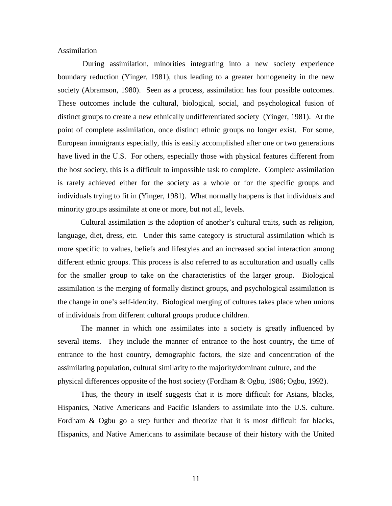#### Assimilation

 During assimilation, minorities integrating into a new society experience boundary reduction (Yinger, 1981), thus leading to a greater homogeneity in the new society (Abramson, 1980). Seen as a process, assimilation has four possible outcomes. These outcomes include the cultural, biological, social, and psychological fusion of distinct groups to create a new ethnically undifferentiated society (Yinger, 1981). At the point of complete assimilation, once distinct ethnic groups no longer exist. For some, European immigrants especially, this is easily accomplished after one or two generations have lived in the U.S. For others, especially those with physical features different from the host society, this is a difficult to impossible task to complete. Complete assimilation is rarely achieved either for the society as a whole or for the specific groups and individuals trying to fit in (Yinger, 1981). What normally happens is that individuals and minority groups assimilate at one or more, but not all, levels.

Cultural assimilation is the adoption of another's cultural traits, such as religion, language, diet, dress, etc. Under this same category is structural assimilation which is more specific to values, beliefs and lifestyles and an increased social interaction among different ethnic groups. This process is also referred to as acculturation and usually calls for the smaller group to take on the characteristics of the larger group. Biological assimilation is the merging of formally distinct groups, and psychological assimilation is the change in one's self-identity. Biological merging of cultures takes place when unions of individuals from different cultural groups produce children.

The manner in which one assimilates into a society is greatly influenced by several items. They include the manner of entrance to the host country, the time of entrance to the host country, demographic factors, the size and concentration of the assimilating population, cultural similarity to the majority/dominant culture, and the physical differences opposite of the host society (Fordham & Ogbu, 1986; Ogbu, 1992).

Thus, the theory in itself suggests that it is more difficult for Asians, blacks, Hispanics, Native Americans and Pacific Islanders to assimilate into the U.S. culture. Fordham & Ogbu go a step further and theorize that it is most difficult for blacks, Hispanics, and Native Americans to assimilate because of their history with the United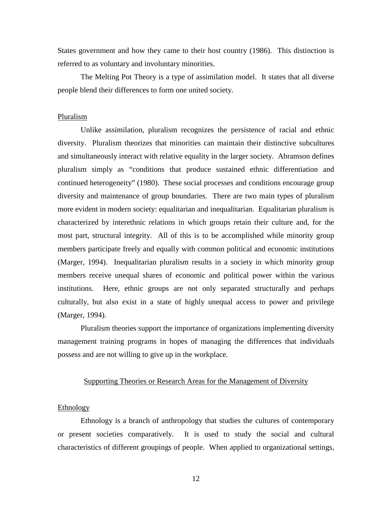States government and how they came to their host country (1986). This distinction is referred to as voluntary and involuntary minorities.

The Melting Pot Theory is a type of assimilation model. It states that all diverse people blend their differences to form one united society.

#### Pluralism

Unlike assimilation, pluralism recognizes the persistence of racial and ethnic diversity. Pluralism theorizes that minorities can maintain their distinctive subcultures and simultaneously interact with relative equality in the larger society. Abramson defines pluralism simply as "conditions that produce sustained ethnic differentiation and continued heterogeneity" (1980). These social processes and conditions encourage group diversity and maintenance of group boundaries. There are two main types of pluralism more evident in modern society: equalitarian and inequalitarian. Equalitarian pluralism is characterized by interethnic relations in which groups retain their culture and, for the most part, structural integrity. All of this is to be accomplished while minority group members participate freely and equally with common political and economic institutions (Marger, 1994). Inequalitarian pluralism results in a society in which minority group members receive unequal shares of economic and political power within the various institutions. Here, ethnic groups are not only separated structurally and perhaps culturally, but also exist in a state of highly unequal access to power and privilege (Marger, 1994).

Pluralism theories support the importance of organizations implementing diversity management training programs in hopes of managing the differences that individuals possess and are not willing to give up in the workplace.

#### Supporting Theories or Research Areas for the Management of Diversity

#### **Ethnology**

Ethnology is a branch of anthropology that studies the cultures of contemporary or present societies comparatively. It is used to study the social and cultural characteristics of different groupings of people. When applied to organizational settings,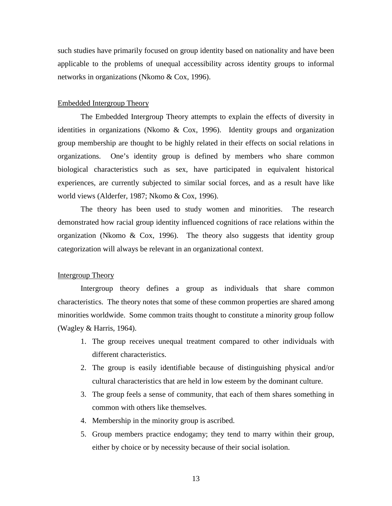such studies have primarily focused on group identity based on nationality and have been applicable to the problems of unequal accessibility across identity groups to informal networks in organizations (Nkomo & Cox, 1996).

#### Embedded Intergroup Theory

The Embedded Intergroup Theory attempts to explain the effects of diversity in identities in organizations (Nkomo & Cox, 1996). Identity groups and organization group membership are thought to be highly related in their effects on social relations in organizations. One's identity group is defined by members who share common biological characteristics such as sex, have participated in equivalent historical experiences, are currently subjected to similar social forces, and as a result have like world views (Alderfer, 1987; Nkomo & Cox, 1996).

The theory has been used to study women and minorities. The research demonstrated how racial group identity influenced cognitions of race relations within the organization (Nkomo & Cox, 1996). The theory also suggests that identity group categorization will always be relevant in an organizational context.

### Intergroup Theory

Intergroup theory defines a group as individuals that share common characteristics. The theory notes that some of these common properties are shared among minorities worldwide. Some common traits thought to constitute a minority group follow (Wagley & Harris, 1964).

- 1. The group receives unequal treatment compared to other individuals with different characteristics.
- 2. The group is easily identifiable because of distinguishing physical and/or cultural characteristics that are held in low esteem by the dominant culture.
- 3. The group feels a sense of community, that each of them shares something in common with others like themselves.
- 4. Membership in the minority group is ascribed.
- 5. Group members practice endogamy; they tend to marry within their group, either by choice or by necessity because of their social isolation.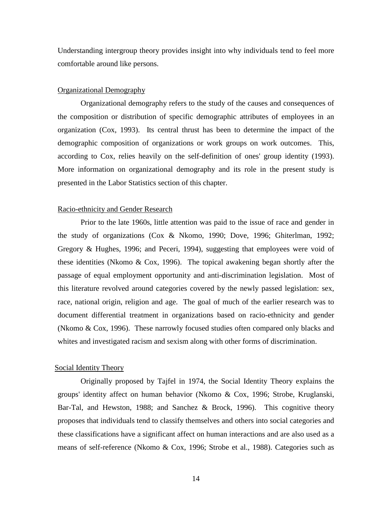Understanding intergroup theory provides insight into why individuals tend to feel more comfortable around like persons.

#### Organizational Demography

Organizational demography refers to the study of the causes and consequences of the composition or distribution of specific demographic attributes of employees in an organization (Cox, 1993). Its central thrust has been to determine the impact of the demographic composition of organizations or work groups on work outcomes. This, according to Cox, relies heavily on the self-definition of ones' group identity (1993). More information on organizational demography and its role in the present study is presented in the Labor Statistics section of this chapter.

#### Racio-ethnicity and Gender Research

Prior to the late 1960s, little attention was paid to the issue of race and gender in the study of organizations (Cox & Nkomo, 1990; Dove, 1996; Ghiterlman, 1992; Gregory & Hughes, 1996; and Peceri, 1994), suggesting that employees were void of these identities (Nkomo & Cox, 1996). The topical awakening began shortly after the passage of equal employment opportunity and anti-discrimination legislation. Most of this literature revolved around categories covered by the newly passed legislation: sex, race, national origin, religion and age. The goal of much of the earlier research was to document differential treatment in organizations based on racio-ethnicity and gender (Nkomo & Cox, 1996). These narrowly focused studies often compared only blacks and whites and investigated racism and sexism along with other forms of discrimination.

#### Social Identity Theory

Originally proposed by Tajfel in 1974, the Social Identity Theory explains the groups' identity affect on human behavior (Nkomo & Cox, 1996; Strobe, Kruglanski, Bar-Tal, and Hewston, 1988; and Sanchez & Brock, 1996). This cognitive theory proposes that individuals tend to classify themselves and others into social categories and these classifications have a significant affect on human interactions and are also used as a means of self-reference (Nkomo & Cox, 1996; Strobe et al., 1988). Categories such as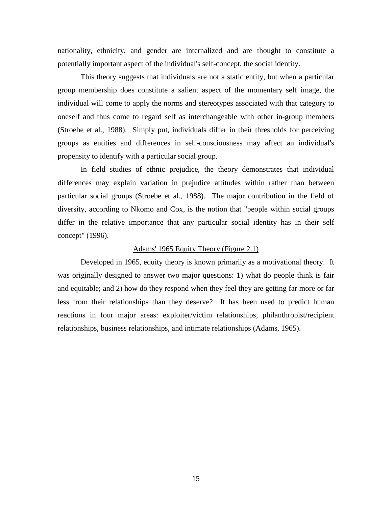nationality, ethnicity, and gender are internalized and are thought to constitute a potentially important aspect of the individual's self-concept, the social identity.

This theory suggests that individuals are not a static entity, but when a particular group membership does constitute a salient aspect of the momentary self image, the individual will come to apply the norms and stereotypes associated with that category to oneself and thus come to regard self as interchangeable with other in-group members (Stroebe et al., 1988). Simply put, individuals differ in their thresholds for perceiving groups as entities and differences in self-consciousness may affect an individual's propensity to identify with a particular social group.

In field studies of ethnic prejudice, the theory demonstrates that individual differences may explain variation in prejudice attitudes within rather than between particular social groups (Stroebe et al., 1988). The major contribution in the field of diversity, according to Nkomo and Cox, is the notion that "people within social groups differ in the relative importance that any particular social identity has in their self concept" (1996).

#### Adams' 1965 Equity Theory (Figure 2.1)

Developed in 1965, equity theory is known primarily as a motivational theory. It was originally designed to answer two major questions: 1) what do people think is fair and equitable; and 2) how do they respond when they feel they are getting far more or far less from their relationships than they deserve? It has been used to predict human reactions in four major areas: exploiter/victim relationships, philanthropist/recipient relationships, business relationships, and intimate relationships (Adams, 1965).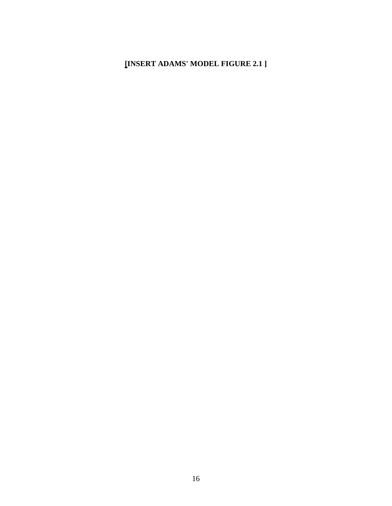# **[INSERT ADAMS' MODEL FIGURE 2.1 ]**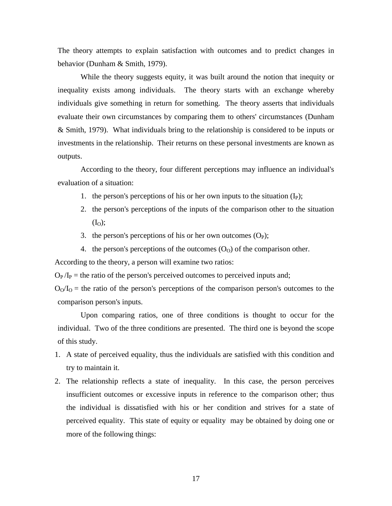The theory attempts to explain satisfaction with outcomes and to predict changes in behavior (Dunham & Smith, 1979).

While the theory suggests equity, it was built around the notion that inequity or inequality exists among individuals. The theory starts with an exchange whereby individuals give something in return for something. The theory asserts that individuals evaluate their own circumstances by comparing them to others' circumstances (Dunham & Smith, 1979). What individuals bring to the relationship is considered to be inputs or investments in the relationship. Their returns on these personal investments are known as outputs.

According to the theory, four different perceptions may influence an individual's evaluation of a situation:

- 1. the person's perceptions of his or her own inputs to the situation  $(I_P)$ ;
- 2. the person's perceptions of the inputs of the comparison other to the situation  $(I<sub>O</sub>)$ ;
- 3. the person's perceptions of his or her own outcomes  $(O_P)$ ;
- 4. the person's perceptions of the outcomes  $(O<sub>0</sub>)$  of the comparison other.

According to the theory, a person will examine two ratios:

 $O_P/I_P$  = the ratio of the person's perceived outcomes to perceived inputs and;

 $O_0/I_0$  = the ratio of the person's perceptions of the comparison person's outcomes to the comparison person's inputs.

Upon comparing ratios, one of three conditions is thought to occur for the individual. Two of the three conditions are presented. The third one is beyond the scope of this study.

- 1. A state of perceived equality, thus the individuals are satisfied with this condition and try to maintain it.
- 2. The relationship reflects a state of inequality. In this case, the person perceives insufficient outcomes or excessive inputs in reference to the comparison other; thus the individual is dissatisfied with his or her condition and strives for a state of perceived equality. This state of equity or equality may be obtained by doing one or more of the following things: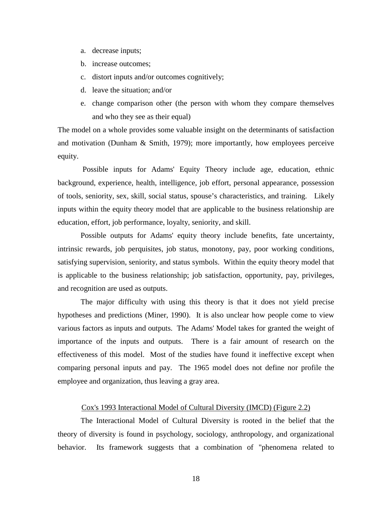- a. decrease inputs;
- b. increase outcomes;
- c. distort inputs and/or outcomes cognitively;
- d. leave the situation; and/or
- e. change comparison other (the person with whom they compare themselves and who they see as their equal)

The model on a whole provides some valuable insight on the determinants of satisfaction and motivation (Dunham & Smith, 1979); more importantly, how employees perceive equity.

 Possible inputs for Adams' Equity Theory include age, education, ethnic background, experience, health, intelligence, job effort, personal appearance, possession of tools, seniority, sex, skill, social status, spouse's characteristics, and training. Likely inputs within the equity theory model that are applicable to the business relationship are education, effort, job performance, loyalty, seniority, and skill.

Possible outputs for Adams' equity theory include benefits, fate uncertainty, intrinsic rewards, job perquisites, job status, monotony, pay, poor working conditions, satisfying supervision, seniority, and status symbols. Within the equity theory model that is applicable to the business relationship; job satisfaction, opportunity, pay, privileges, and recognition are used as outputs.

The major difficulty with using this theory is that it does not yield precise hypotheses and predictions (Miner, 1990). It is also unclear how people come to view various factors as inputs and outputs. The Adams' Model takes for granted the weight of importance of the inputs and outputs. There is a fair amount of research on the effectiveness of this model. Most of the studies have found it ineffective except when comparing personal inputs and pay. The 1965 model does not define nor profile the employee and organization, thus leaving a gray area.

### Cox's 1993 Interactional Model of Cultural Diversity (IMCD) (Figure 2.2)

The Interactional Model of Cultural Diversity is rooted in the belief that the theory of diversity is found in psychology, sociology, anthropology, and organizational behavior. Its framework suggests that a combination of "phenomena related to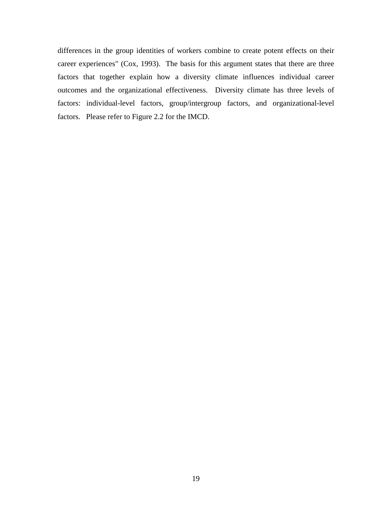differences in the group identities of workers combine to create potent effects on their career experiences" (Cox, 1993). The basis for this argument states that there are three factors that together explain how a diversity climate influences individual career outcomes and the organizational effectiveness. Diversity climate has three levels of factors: individual-level factors, group/intergroup factors, and organizational-level factors. Please refer to Figure 2.2 for the IMCD.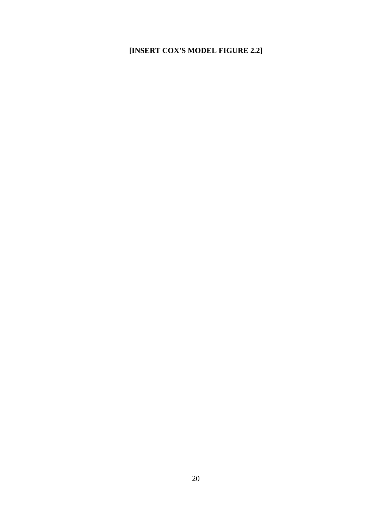# **[INSERT COX'S MODEL FIGURE 2.2]**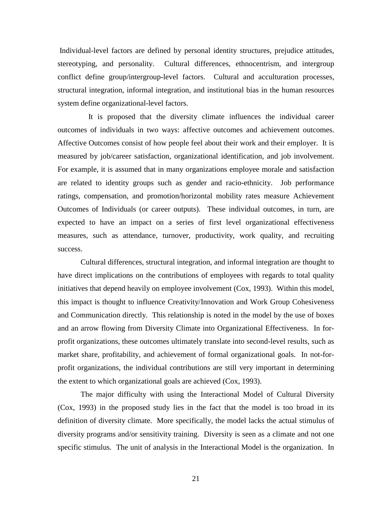Individual-level factors are defined by personal identity structures, prejudice attitudes, stereotyping, and personality. Cultural differences, ethnocentrism, and intergroup conflict define group/intergroup-level factors. Cultural and acculturation processes, structural integration, informal integration, and institutional bias in the human resources system define organizational-level factors.

 It is proposed that the diversity climate influences the individual career outcomes of individuals in two ways: affective outcomes and achievement outcomes. Affective Outcomes consist of how people feel about their work and their employer. It is measured by job/career satisfaction, organizational identification, and job involvement. For example, it is assumed that in many organizations employee morale and satisfaction are related to identity groups such as gender and racio-ethnicity. Job performance ratings, compensation, and promotion/horizontal mobility rates measure Achievement Outcomes of Individuals (or career outputs). These individual outcomes, in turn, are expected to have an impact on a series of first level organizational effectiveness measures, such as attendance, turnover, productivity, work quality, and recruiting success.

Cultural differences, structural integration, and informal integration are thought to have direct implications on the contributions of employees with regards to total quality initiatives that depend heavily on employee involvement (Cox, 1993). Within this model, this impact is thought to influence Creativity/Innovation and Work Group Cohesiveness and Communication directly. This relationship is noted in the model by the use of boxes and an arrow flowing from Diversity Climate into Organizational Effectiveness. In forprofit organizations, these outcomes ultimately translate into second-level results, such as market share, profitability, and achievement of formal organizational goals. In not-forprofit organizations, the individual contributions are still very important in determining the extent to which organizational goals are achieved (Cox, 1993).

The major difficulty with using the Interactional Model of Cultural Diversity (Cox, 1993) in the proposed study lies in the fact that the model is too broad in its definition of diversity climate. More specifically, the model lacks the actual stimulus of diversity programs and/or sensitivity training. Diversity is seen as a climate and not one specific stimulus. The unit of analysis in the Interactional Model is the organization. In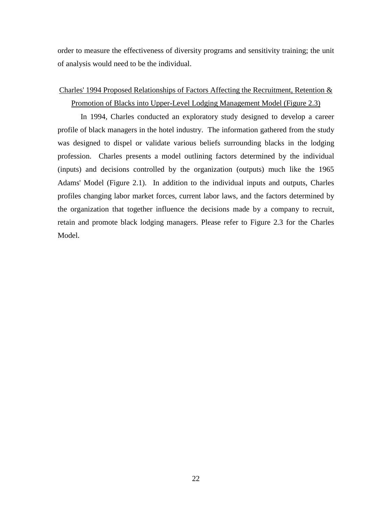order to measure the effectiveness of diversity programs and sensitivity training; the unit of analysis would need to be the individual.

## Charles' 1994 Proposed Relationships of Factors Affecting the Recruitment, Retention & Promotion of Blacks into Upper-Level Lodging Management Model (Figure 2.3)

In 1994, Charles conducted an exploratory study designed to develop a career profile of black managers in the hotel industry. The information gathered from the study was designed to dispel or validate various beliefs surrounding blacks in the lodging profession. Charles presents a model outlining factors determined by the individual (inputs) and decisions controlled by the organization (outputs) much like the 1965 Adams' Model (Figure 2.1). In addition to the individual inputs and outputs, Charles profiles changing labor market forces, current labor laws, and the factors determined by the organization that together influence the decisions made by a company to recruit, retain and promote black lodging managers. Please refer to Figure 2.3 for the Charles Model.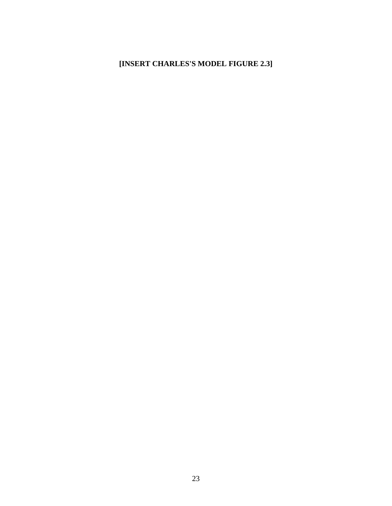# **[INSERT CHARLES'S MODEL FIGURE 2.3]**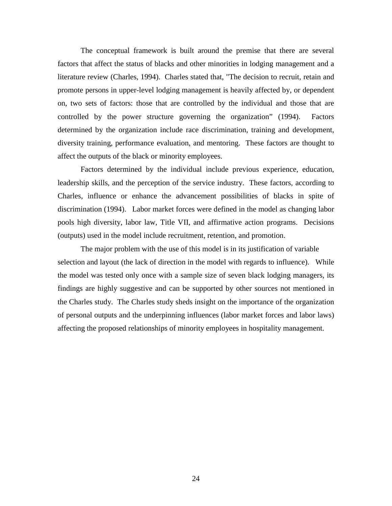The conceptual framework is built around the premise that there are several factors that affect the status of blacks and other minorities in lodging management and a literature review (Charles, 1994). Charles stated that, "The decision to recruit, retain and promote persons in upper-level lodging management is heavily affected by, or dependent on, two sets of factors: those that are controlled by the individual and those that are controlled by the power structure governing the organization" (1994). Factors determined by the organization include race discrimination, training and development, diversity training, performance evaluation, and mentoring. These factors are thought to affect the outputs of the black or minority employees.

Factors determined by the individual include previous experience, education, leadership skills, and the perception of the service industry. These factors, according to Charles, influence or enhance the advancement possibilities of blacks in spite of discrimination (1994). Labor market forces were defined in the model as changing labor pools high diversity, labor law, Title VII, and affirmative action programs. Decisions (outputs) used in the model include recruitment, retention, and promotion.

The major problem with the use of this model is in its justification of variable selection and layout (the lack of direction in the model with regards to influence). While the model was tested only once with a sample size of seven black lodging managers, its findings are highly suggestive and can be supported by other sources not mentioned in the Charles study. The Charles study sheds insight on the importance of the organization of personal outputs and the underpinning influences (labor market forces and labor laws) affecting the proposed relationships of minority employees in hospitality management.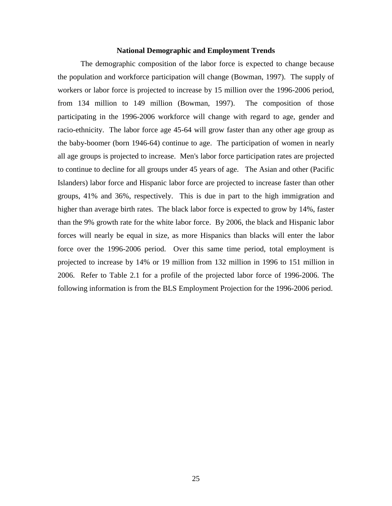#### **National Demographic and Employment Trends**

The demographic composition of the labor force is expected to change because the population and workforce participation will change (Bowman, 1997). The supply of workers or labor force is projected to increase by 15 million over the 1996-2006 period, from 134 million to 149 million (Bowman, 1997). The composition of those participating in the 1996-2006 workforce will change with regard to age, gender and racio-ethnicity. The labor force age 45-64 will grow faster than any other age group as the baby-boomer (born 1946-64) continue to age. The participation of women in nearly all age groups is projected to increase. Men's labor force participation rates are projected to continue to decline for all groups under 45 years of age. The Asian and other (Pacific Islanders) labor force and Hispanic labor force are projected to increase faster than other groups, 41% and 36%, respectively. This is due in part to the high immigration and higher than average birth rates. The black labor force is expected to grow by 14%, faster than the 9% growth rate for the white labor force. By 2006, the black and Hispanic labor forces will nearly be equal in size, as more Hispanics than blacks will enter the labor force over the 1996-2006 period. Over this same time period, total employment is projected to increase by 14% or 19 million from 132 million in 1996 to 151 million in 2006. Refer to Table 2.1 for a profile of the projected labor force of 1996-2006. The following information is from the BLS Employment Projection for the 1996-2006 period.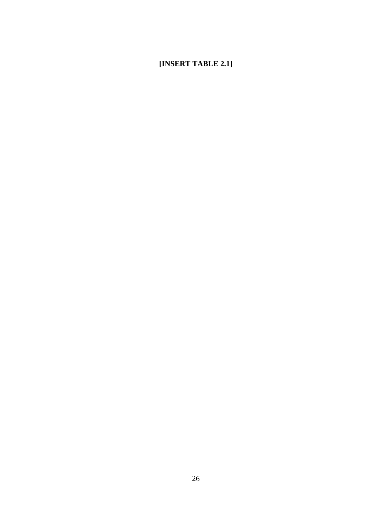# **[INSERT TABLE 2.1]**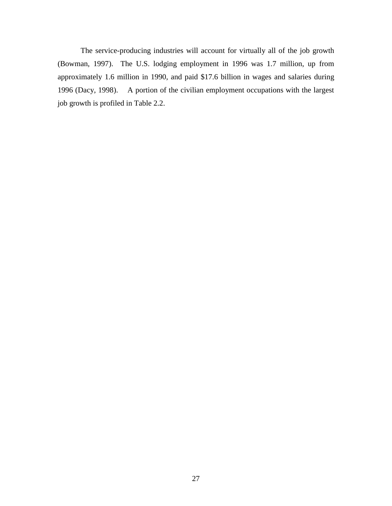The service-producing industries will account for virtually all of the job growth (Bowman, 1997). The U.S. lodging employment in 1996 was 1.7 million, up from approximately 1.6 million in 1990, and paid \$17.6 billion in wages and salaries during 1996 (Dacy, 1998). A portion of the civilian employment occupations with the largest job growth is profiled in Table 2.2.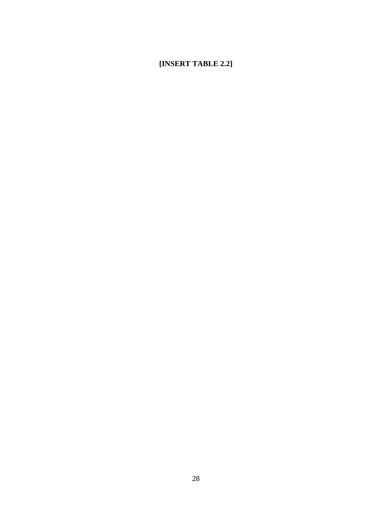# **[INSERT TABLE 2.2]**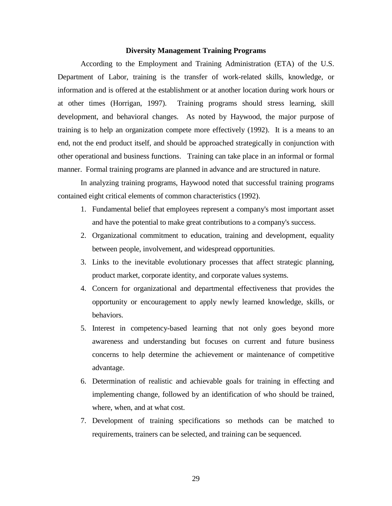#### **Diversity Management Training Programs**

According to the Employment and Training Administration (ETA) of the U.S. Department of Labor, training is the transfer of work-related skills, knowledge, or information and is offered at the establishment or at another location during work hours or at other times (Horrigan, 1997). Training programs should stress learning, skill development, and behavioral changes. As noted by Haywood, the major purpose of training is to help an organization compete more effectively (1992). It is a means to an end, not the end product itself, and should be approached strategically in conjunction with other operational and business functions. Training can take place in an informal or formal manner. Formal training programs are planned in advance and are structured in nature.

In analyzing training programs, Haywood noted that successful training programs contained eight critical elements of common characteristics (1992).

- 1. Fundamental belief that employees represent a company's most important asset and have the potential to make great contributions to a company's success.
- 2. Organizational commitment to education, training and development, equality between people, involvement, and widespread opportunities.
- 3. Links to the inevitable evolutionary processes that affect strategic planning, product market, corporate identity, and corporate values systems.
- 4. Concern for organizational and departmental effectiveness that provides the opportunity or encouragement to apply newly learned knowledge, skills, or behaviors.
- 5. Interest in competency-based learning that not only goes beyond more awareness and understanding but focuses on current and future business concerns to help determine the achievement or maintenance of competitive advantage.
- 6. Determination of realistic and achievable goals for training in effecting and implementing change, followed by an identification of who should be trained, where, when, and at what cost.
- 7. Development of training specifications so methods can be matched to requirements, trainers can be selected, and training can be sequenced.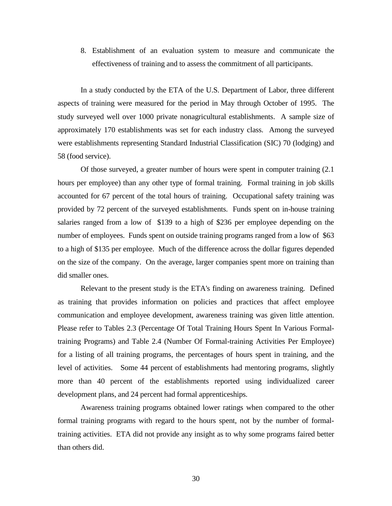8. Establishment of an evaluation system to measure and communicate the effectiveness of training and to assess the commitment of all participants.

In a study conducted by the ETA of the U.S. Department of Labor, three different aspects of training were measured for the period in May through October of 1995. The study surveyed well over 1000 private nonagricultural establishments. A sample size of approximately 170 establishments was set for each industry class. Among the surveyed were establishments representing Standard Industrial Classification (SIC) 70 (lodging) and 58 (food service).

Of those surveyed, a greater number of hours were spent in computer training (2.1 hours per employee) than any other type of formal training. Formal training in job skills accounted for 67 percent of the total hours of training. Occupational safety training was provided by 72 percent of the surveyed establishments. Funds spent on in-house training salaries ranged from a low of \$139 to a high of \$236 per employee depending on the number of employees. Funds spent on outside training programs ranged from a low of \$63 to a high of \$135 per employee. Much of the difference across the dollar figures depended on the size of the company. On the average, larger companies spent more on training than did smaller ones.

Relevant to the present study is the ETA's finding on awareness training. Defined as training that provides information on policies and practices that affect employee communication and employee development, awareness training was given little attention. Please refer to Tables 2.3 (Percentage Of Total Training Hours Spent In Various Formaltraining Programs) and Table 2.4 (Number Of Formal-training Activities Per Employee) for a listing of all training programs, the percentages of hours spent in training, and the level of activities. Some 44 percent of establishments had mentoring programs, slightly more than 40 percent of the establishments reported using individualized career development plans, and 24 percent had formal apprenticeships.

Awareness training programs obtained lower ratings when compared to the other formal training programs with regard to the hours spent, not by the number of formaltraining activities. ETA did not provide any insight as to why some programs faired better than others did.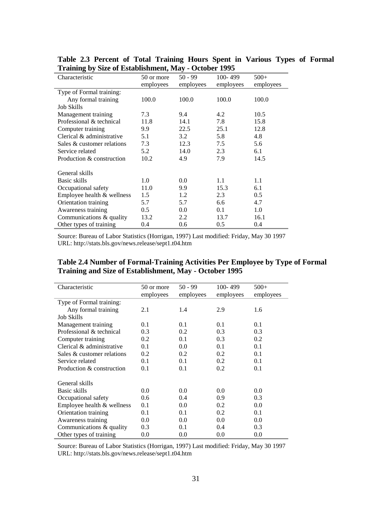| Characteristic               | 50 or more<br>employees | $50 - 99$<br>employees | 100-499<br>employees | $500+$<br>employees |
|------------------------------|-------------------------|------------------------|----------------------|---------------------|
| Type of Formal training:     |                         |                        |                      |                     |
| Any formal training          | 100.0                   | 100.0                  | 100.0                | 100.0               |
| <b>Job Skills</b>            |                         |                        |                      |                     |
| Management training          | 7.3                     | 9.4                    | 4.2                  | 10.5                |
| Professional & technical     | 11.8                    | 14.1                   | 7.8                  | 15.8                |
| Computer training            | 9.9                     | 22.5                   | 25.1                 | 12.8                |
| Clerical & administrative    | 5.1                     | 3.2                    | 5.8                  | 4.8                 |
| Sales & customer relations   | 7.3                     | 12.3                   | 7.5                  | 5.6                 |
| Service related              | 5.2                     | 14.0                   | 2.3                  | 6.1                 |
| Production & construction    | 10.2                    | 4.9                    | 7.9                  | 14.5                |
| General skills               |                         |                        |                      |                     |
| Basic skills                 | 1.0                     | 0.0                    | 1.1                  | 1.1                 |
| Occupational safety          | 11.0                    | 9.9                    | 15.3                 | 6.1                 |
| Employee health $&$ wellness | 1.5                     | 1.2                    | 2.3                  | 0.5                 |
| Orientation training         | 5.7                     | 5.7                    | 6.6                  | 4.7                 |
| Awareness training           | 0.5                     | 0.0                    | 0.1                  | 1.0                 |
| Communications & quality     | 13.2                    | 2.2                    | 13.7                 | 16.1                |
| Other types of training      | 0.4                     | 0.6                    | 0.5                  | 0.4                 |

**Table 2.3 Percent of Total Training Hours Spent in Various Types of Formal Training by Size of Establishment, May - October 1995**

Source: Bureau of Labor Statistics (Horrigan, 1997) Last modified: Friday, May 30 1997 URL: http://stats.bls.gov/news.release/sept1.t04.htm

| Table 2.4 Number of Formal-Training Activities Per Employee by Type of Formal |
|-------------------------------------------------------------------------------|
| Training and Size of Establishment, May - October 1995                        |

| Characteristic             | 50 or more    | $50 - 99$ | $100 - 499$ | $500+$    |
|----------------------------|---------------|-----------|-------------|-----------|
|                            | employees     | employees | employees   | employees |
| Type of Formal training:   |               |           |             |           |
| Any formal training        | 2.1           | 1.4       | 2.9         | 1.6       |
| <b>Job Skills</b>          |               |           |             |           |
| Management training        | 0.1           | 0.1       | 0.1         | 0.1       |
| Professional & technical   | 0.3           | 0.2       | 0.3         | 0.3       |
| Computer training          | $0.2^{\circ}$ | 0.1       | 0.3         | 0.2       |
| Clerical & administrative  | 0.1           | 0.0       | 0.1         | 0.1       |
| Sales & customer relations | $0.2^{\circ}$ | 0.2       | 0.2         | 0.1       |
| Service related            | 0.1           | 0.1       | 0.2         | 0.1       |
| Production & construction  | 0.1           | 0.1       | 0.2         | 0.1       |
|                            |               |           |             |           |
| General skills             |               |           |             |           |
| Basic skills               | 0.0           | 0.0       | 0.0         | 0.0       |
| Occupational safety        | 0.6           | 0.4       | 0.9         | 0.3       |
| Employee health & wellness | 0.1           | 0.0       | 0.2         | 0.0       |
| Orientation training       | 0.1           | 0.1       | 0.2         | 0.1       |
| Awareness training         | 0.0           | 0.0       | 0.0         | 0.0       |
| Communications & quality   | 0.3           | 0.1       | 0.4         | 0.3       |
| Other types of training    | 0.0           | 0.0       | 0.0         | 0.0       |

Source: Bureau of Labor Statistics (Horrigan, 1997) Last modified: Friday, May 30 1997 URL: http://stats.bls.gov/news.release/sept1.t04.htm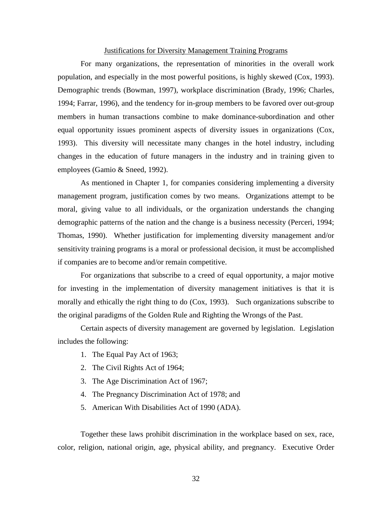#### Justifications for Diversity Management Training Programs

For many organizations, the representation of minorities in the overall work population, and especially in the most powerful positions, is highly skewed (Cox, 1993). Demographic trends (Bowman, 1997), workplace discrimination (Brady, 1996; Charles, 1994; Farrar, 1996), and the tendency for in-group members to be favored over out-group members in human transactions combine to make dominance-subordination and other equal opportunity issues prominent aspects of diversity issues in organizations (Cox, 1993). This diversity will necessitate many changes in the hotel industry, including changes in the education of future managers in the industry and in training given to employees (Gamio & Sneed, 1992).

As mentioned in Chapter 1, for companies considering implementing a diversity management program, justification comes by two means. Organizations attempt to be moral, giving value to all individuals, or the organization understands the changing demographic patterns of the nation and the change is a business necessity (Perceri, 1994; Thomas, 1990). Whether justification for implementing diversity management and/or sensitivity training programs is a moral or professional decision, it must be accomplished if companies are to become and/or remain competitive.

For organizations that subscribe to a creed of equal opportunity, a major motive for investing in the implementation of diversity management initiatives is that it is morally and ethically the right thing to do (Cox, 1993). Such organizations subscribe to the original paradigms of the Golden Rule and Righting the Wrongs of the Past.

Certain aspects of diversity management are governed by legislation. Legislation includes the following:

- 1. The Equal Pay Act of 1963;
- 2. The Civil Rights Act of 1964;
- 3. The Age Discrimination Act of 1967;
- 4. The Pregnancy Discrimination Act of 1978; and
- 5. American With Disabilities Act of 1990 (ADA).

Together these laws prohibit discrimination in the workplace based on sex, race, color, religion, national origin, age, physical ability, and pregnancy. Executive Order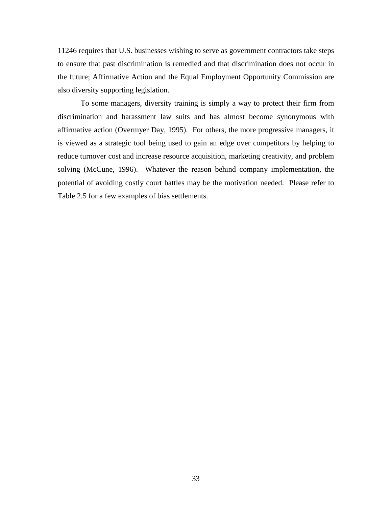11246 requires that U.S. businesses wishing to serve as government contractors take steps to ensure that past discrimination is remedied and that discrimination does not occur in the future; Affirmative Action and the Equal Employment Opportunity Commission are also diversity supporting legislation.

To some managers, diversity training is simply a way to protect their firm from discrimination and harassment law suits and has almost become synonymous with affirmative action (Overmyer Day, 1995). For others, the more progressive managers, it is viewed as a strategic tool being used to gain an edge over competitors by helping to reduce turnover cost and increase resource acquisition, marketing creativity, and problem solving (McCune, 1996). Whatever the reason behind company implementation, the potential of avoiding costly court battles may be the motivation needed. Please refer to Table 2.5 for a few examples of bias settlements.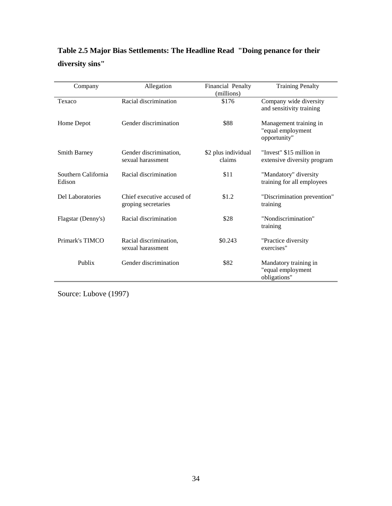# **Table 2.5 Major Bias Settlements: The Headline Read "Doing penance for their diversity sins"**

| Company                       | Allegation                                        | Financial Penalty<br>(millions) | <b>Training Penalty</b>                                     |
|-------------------------------|---------------------------------------------------|---------------------------------|-------------------------------------------------------------|
| Texaco                        | Racial discrimination                             | \$176                           | Company wide diversity<br>and sensitivity training          |
| Home Depot                    | Gender discrimination                             | \$88                            | Management training in<br>"equal employment<br>opportunity" |
| <b>Smith Barney</b>           | Gender discrimination,<br>sexual harassment       | \$2 plus individual<br>claims   | "Invest" \$15 million in<br>extensive diversity program     |
| Southern California<br>Edison | Racial discrimination                             | \$11                            | "Mandatory" diversity<br>training for all employees         |
| Del Laboratories              | Chief executive accused of<br>groping secretaries | \$1.2                           | "Discrimination prevention"<br>training                     |
| Flagstar (Denny's)            | Racial discrimination                             | \$28                            | "Nondiscrimination"<br>training                             |
| Primark's TIMCO               | Racial discrimination,<br>sexual harassment       | \$0.243                         | "Practice diversity<br>exercises"                           |
| Publix                        | Gender discrimination                             | \$82                            | Mandatory training in<br>"equal employment<br>obligations"  |

Source: Lubove (1997)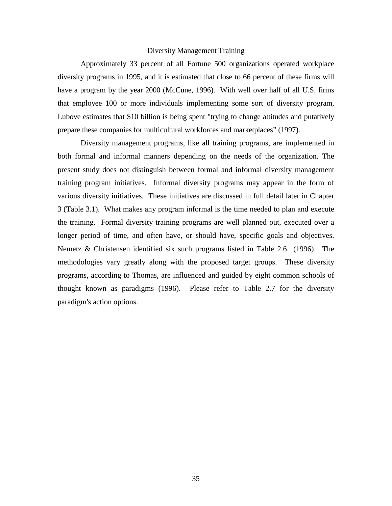#### Diversity Management Training

Approximately 33 percent of all Fortune 500 organizations operated workplace diversity programs in 1995, and it is estimated that close to 66 percent of these firms will have a program by the year 2000 (McCune, 1996). With well over half of all U.S. firms that employee 100 or more individuals implementing some sort of diversity program, Lubove estimates that \$10 billion is being spent "trying to change attitudes and putatively prepare these companies for multicultural workforces and marketplaces" (1997).

Diversity management programs, like all training programs, are implemented in both formal and informal manners depending on the needs of the organization. The present study does not distinguish between formal and informal diversity management training program initiatives. Informal diversity programs may appear in the form of various diversity initiatives. These initiatives are discussed in full detail later in Chapter 3 (Table 3.1). What makes any program informal is the time needed to plan and execute the training. Formal diversity training programs are well planned out, executed over a longer period of time, and often have, or should have, specific goals and objectives. Nemetz & Christensen identified six such programs listed in Table 2.6 (1996). The methodologies vary greatly along with the proposed target groups. These diversity programs, according to Thomas, are influenced and guided by eight common schools of thought known as paradigms (1996). Please refer to Table 2.7 for the diversity paradigm's action options.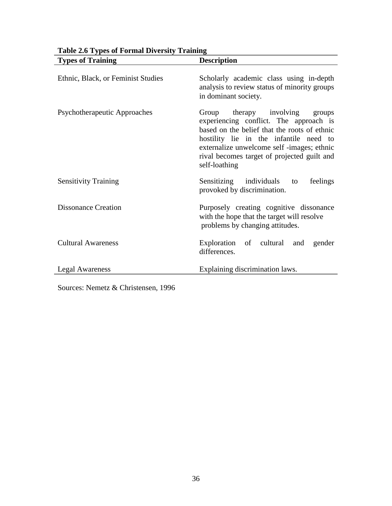| <b>Types of Training</b>           | <b>Description</b>                                                                                                                                                                                                                                                                  |
|------------------------------------|-------------------------------------------------------------------------------------------------------------------------------------------------------------------------------------------------------------------------------------------------------------------------------------|
| Ethnic, Black, or Feminist Studies | Scholarly academic class using in-depth<br>analysis to review status of minority groups<br>in dominant society.                                                                                                                                                                     |
| Psychotherapeutic Approaches       | Group therapy involving<br>groups<br>experiencing conflict. The approach is<br>based on the belief that the roots of ethnic<br>hostility lie in the infantile need to<br>externalize unwelcome self -images; ethnic<br>rival becomes target of projected guilt and<br>self-loathing |
| <b>Sensitivity Training</b>        | Sensitizing individuals<br>feelings<br>to<br>provoked by discrimination.                                                                                                                                                                                                            |
| <b>Dissonance Creation</b>         | Purposely creating cognitive dissonance<br>with the hope that the target will resolve<br>problems by changing attitudes.                                                                                                                                                            |
| <b>Cultural Awareness</b>          | Exploration of cultural<br>and<br>gender<br>differences.                                                                                                                                                                                                                            |
| Legal Awareness                    | Explaining discrimination laws.                                                                                                                                                                                                                                                     |

| <b>Table 2.6 Types of Formal Diversity Training</b> |  |
|-----------------------------------------------------|--|
|-----------------------------------------------------|--|

Sources: Nemetz & Christensen, 1996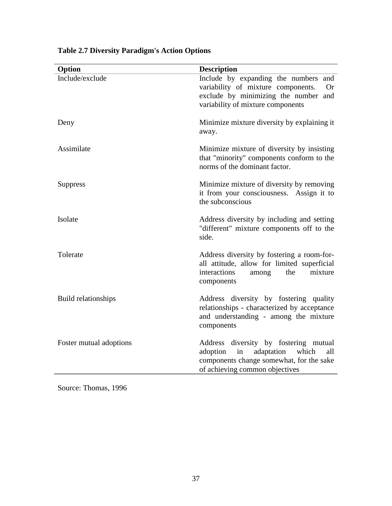| Option                  | <b>Description</b>                                                                                                                                                  |
|-------------------------|---------------------------------------------------------------------------------------------------------------------------------------------------------------------|
| Include/exclude         | Include by expanding the numbers and<br>variability of mixture components.<br>Or<br>exclude by minimizing the number and<br>variability of mixture components       |
| Deny                    | Minimize mixture diversity by explaining it.<br>away.                                                                                                               |
| Assimilate              | Minimize mixture of diversity by insisting<br>that "minority" components conform to the<br>norms of the dominant factor.                                            |
| <b>Suppress</b>         | Minimize mixture of diversity by removing<br>it from your consciousness. Assign it to<br>the subconscious                                                           |
| Isolate                 | Address diversity by including and setting<br>"different" mixture components off to the<br>side.                                                                    |
| Tolerate                | Address diversity by fostering a room-for-<br>all attitude, allow for limited superficial<br>interactions<br>mixture<br>the<br>among<br>components                  |
| Build relationships     | Address diversity by fostering quality<br>relationships - characterized by acceptance<br>and understanding - among the mixture<br>components                        |
| Foster mutual adoptions | Address diversity by fostering mutual<br>adoption<br>in<br>adaptation<br>which<br>all<br>components change somewhat, for the sake<br>of achieving common objectives |

# **Table 2.7 Diversity Paradigm's Action Options**

Source: Thomas, 1996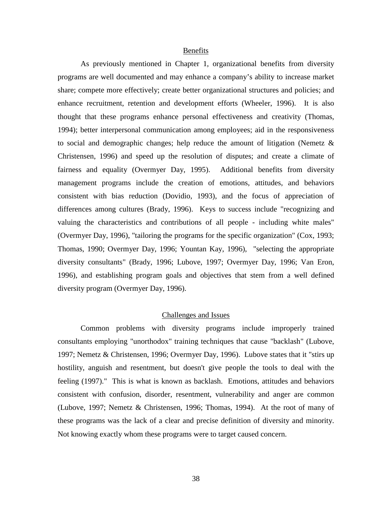#### Benefits

As previously mentioned in Chapter 1, organizational benefits from diversity programs are well documented and may enhance a company's ability to increase market share; compete more effectively; create better organizational structures and policies; and enhance recruitment, retention and development efforts (Wheeler, 1996). It is also thought that these programs enhance personal effectiveness and creativity (Thomas, 1994); better interpersonal communication among employees; aid in the responsiveness to social and demographic changes; help reduce the amount of litigation (Nemetz & Christensen, 1996) and speed up the resolution of disputes; and create a climate of fairness and equality (Overmyer Day, 1995). Additional benefits from diversity management programs include the creation of emotions, attitudes, and behaviors consistent with bias reduction (Dovidio, 1993), and the focus of appreciation of differences among cultures (Brady, 1996). Keys to success include "recognizing and valuing the characteristics and contributions of all people - including white males" (Overmyer Day, 1996), "tailoring the programs for the specific organization" (Cox, 1993; Thomas, 1990; Overmyer Day, 1996; Yountan Kay, 1996), "selecting the appropriate diversity consultants" (Brady, 1996; Lubove, 1997; Overmyer Day, 1996; Van Eron, 1996), and establishing program goals and objectives that stem from a well defined diversity program (Overmyer Day, 1996).

## Challenges and Issues

Common problems with diversity programs include improperly trained consultants employing "unorthodox" training techniques that cause "backlash" (Lubove, 1997; Nemetz & Christensen, 1996; Overmyer Day, 1996). Lubove states that it "stirs up hostility, anguish and resentment, but doesn't give people the tools to deal with the feeling (1997)." This is what is known as backlash. Emotions, attitudes and behaviors consistent with confusion, disorder, resentment, vulnerability and anger are common (Lubove, 1997; Nemetz & Christensen, 1996; Thomas, 1994). At the root of many of these programs was the lack of a clear and precise definition of diversity and minority. Not knowing exactly whom these programs were to target caused concern.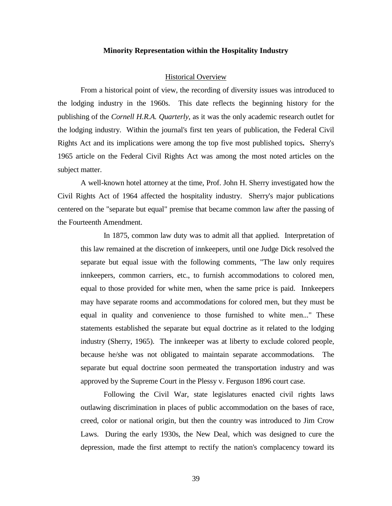#### **Minority Representation within the Hospitality Industry**

#### Historical Overview

From a historical point of view, the recording of diversity issues was introduced to the lodging industry in the 1960s. This date reflects the beginning history for the publishing of the *Cornell H.R.A. Quarterly*, as it was the only academic research outlet for the lodging industry. Within the journal's first ten years of publication, the Federal Civil Rights Act and its implications were among the top five most published topics**.** Sherry's 1965 article on the Federal Civil Rights Act was among the most noted articles on the subject matter.

A well-known hotel attorney at the time, Prof. John H. Sherry investigated how the Civil Rights Act of 1964 affected the hospitality industry. Sherry's major publications centered on the "separate but equal" premise that became common law after the passing of the Fourteenth Amendment.

In 1875, common law duty was to admit all that applied. Interpretation of this law remained at the discretion of innkeepers, until one Judge Dick resolved the separate but equal issue with the following comments, "The law only requires innkeepers, common carriers, etc., to furnish accommodations to colored men, equal to those provided for white men, when the same price is paid. Innkeepers may have separate rooms and accommodations for colored men, but they must be equal in quality and convenience to those furnished to white men..." These statements established the separate but equal doctrine as it related to the lodging industry (Sherry, 1965). The innkeeper was at liberty to exclude colored people, because he/she was not obligated to maintain separate accommodations. The separate but equal doctrine soon permeated the transportation industry and was approved by the Supreme Court in the Plessy v. Ferguson 1896 court case.

Following the Civil War, state legislatures enacted civil rights laws outlawing discrimination in places of public accommodation on the bases of race, creed, color or national origin, but then the country was introduced to Jim Crow Laws. During the early 1930s, the New Deal, which was designed to cure the depression, made the first attempt to rectify the nation's complacency toward its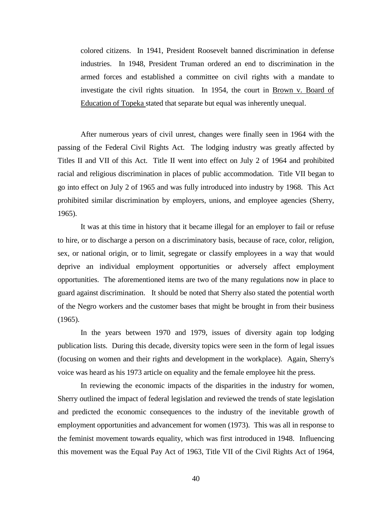colored citizens. In 1941, President Roosevelt banned discrimination in defense industries. In 1948, President Truman ordered an end to discrimination in the armed forces and established a committee on civil rights with a mandate to investigate the civil rights situation. In 1954, the court in Brown v. Board of Education of Topeka stated that separate but equal was inherently unequal.

After numerous years of civil unrest, changes were finally seen in 1964 with the passing of the Federal Civil Rights Act. The lodging industry was greatly affected by Titles II and VII of this Act. Title II went into effect on July 2 of 1964 and prohibited racial and religious discrimination in places of public accommodation. Title VII began to go into effect on July 2 of 1965 and was fully introduced into industry by 1968. This Act prohibited similar discrimination by employers, unions, and employee agencies (Sherry, 1965).

It was at this time in history that it became illegal for an employer to fail or refuse to hire, or to discharge a person on a discriminatory basis, because of race, color, religion, sex, or national origin, or to limit, segregate or classify employees in a way that would deprive an individual employment opportunities or adversely affect employment opportunities. The aforementioned items are two of the many regulations now in place to guard against discrimination. It should be noted that Sherry also stated the potential worth of the Negro workers and the customer bases that might be brought in from their business (1965).

In the years between 1970 and 1979, issues of diversity again top lodging publication lists. During this decade, diversity topics were seen in the form of legal issues (focusing on women and their rights and development in the workplace). Again, Sherry's voice was heard as his 1973 article on equality and the female employee hit the press.

In reviewing the economic impacts of the disparities in the industry for women, Sherry outlined the impact of federal legislation and reviewed the trends of state legislation and predicted the economic consequences to the industry of the inevitable growth of employment opportunities and advancement for women (1973). This was all in response to the feminist movement towards equality, which was first introduced in 1948. Influencing this movement was the Equal Pay Act of 1963, Title VII of the Civil Rights Act of 1964,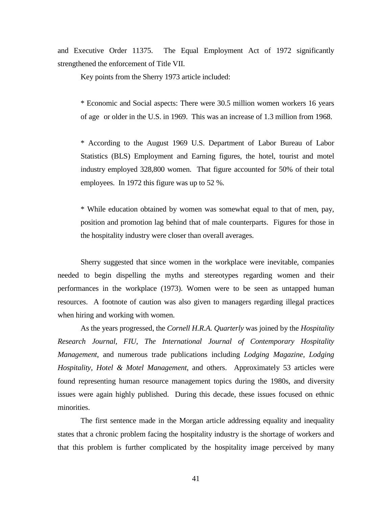and Executive Order 11375. The Equal Employment Act of 1972 significantly strengthened the enforcement of Title VII.

Key points from the Sherry 1973 article included:

\* Economic and Social aspects: There were 30.5 million women workers 16 years of age or older in the U.S. in 1969. This was an increase of 1.3 million from 1968.

\* According to the August 1969 U.S. Department of Labor Bureau of Labor Statistics (BLS) Employment and Earning figures, the hotel, tourist and motel industry employed 328,800 women. That figure accounted for 50% of their total employees. In 1972 this figure was up to 52 %.

\* While education obtained by women was somewhat equal to that of men, pay, position and promotion lag behind that of male counterparts. Figures for those in the hospitality industry were closer than overall averages.

Sherry suggested that since women in the workplace were inevitable, companies needed to begin dispelling the myths and stereotypes regarding women and their performances in the workplace (1973). Women were to be seen as untapped human resources. A footnote of caution was also given to managers regarding illegal practices when hiring and working with women.

As the years progressed, the *Cornell H.R.A. Quarterly* was joined by the *Hospitality Research Journal, FIU, The International Journal of Contemporary Hospitality Management*, and numerous trade publications including *Lodging Magazine, Lodging Hospitality, Hotel & Motel Management*, and others. Approximately 53 articles were found representing human resource management topics during the 1980s, and diversity issues were again highly published. During this decade, these issues focused on ethnic minorities.

The first sentence made in the Morgan article addressing equality and inequality states that a chronic problem facing the hospitality industry is the shortage of workers and that this problem is further complicated by the hospitality image perceived by many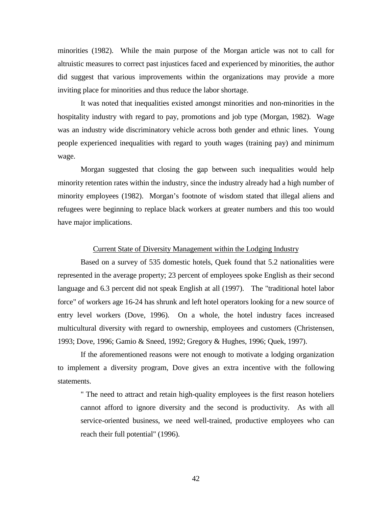minorities (1982). While the main purpose of the Morgan article was not to call for altruistic measures to correct past injustices faced and experienced by minorities, the author did suggest that various improvements within the organizations may provide a more inviting place for minorities and thus reduce the labor shortage.

It was noted that inequalities existed amongst minorities and non-minorities in the hospitality industry with regard to pay, promotions and job type (Morgan, 1982). Wage was an industry wide discriminatory vehicle across both gender and ethnic lines. Young people experienced inequalities with regard to youth wages (training pay) and minimum wage.

Morgan suggested that closing the gap between such inequalities would help minority retention rates within the industry, since the industry already had a high number of minority employees (1982). Morgan's footnote of wisdom stated that illegal aliens and refugees were beginning to replace black workers at greater numbers and this too would have major implications.

#### Current State of Diversity Management within the Lodging Industry

Based on a survey of 535 domestic hotels, Quek found that 5.2 nationalities were represented in the average property; 23 percent of employees spoke English as their second language and 6.3 percent did not speak English at all (1997). The "traditional hotel labor force" of workers age 16-24 has shrunk and left hotel operators looking for a new source of entry level workers (Dove, 1996). On a whole, the hotel industry faces increased multicultural diversity with regard to ownership, employees and customers (Christensen, 1993; Dove, 1996; Gamio & Sneed, 1992; Gregory & Hughes, 1996; Quek, 1997).

If the aforementioned reasons were not enough to motivate a lodging organization to implement a diversity program, Dove gives an extra incentive with the following statements.

" The need to attract and retain high-quality employees is the first reason hoteliers cannot afford to ignore diversity and the second is productivity. As with all service-oriented business, we need well-trained, productive employees who can reach their full potential" (1996).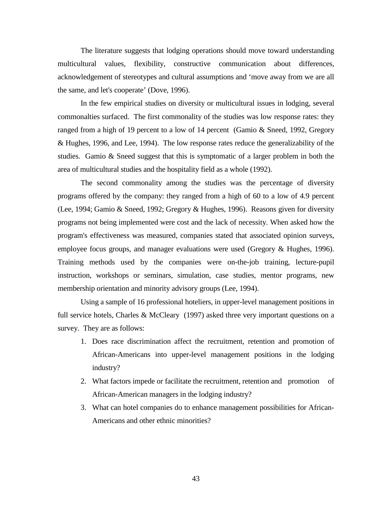The literature suggests that lodging operations should move toward understanding multicultural values, flexibility, constructive communication about differences, acknowledgement of stereotypes and cultural assumptions and 'move away from we are all the same, and let's cooperate' (Dove, 1996).

In the few empirical studies on diversity or multicultural issues in lodging, several commonalties surfaced. The first commonality of the studies was low response rates: they ranged from a high of 19 percent to a low of 14 percent (Gamio & Sneed, 1992, Gregory & Hughes, 1996, and Lee, 1994). The low response rates reduce the generalizability of the studies. Gamio & Sneed suggest that this is symptomatic of a larger problem in both the area of multicultural studies and the hospitality field as a whole (1992).

The second commonality among the studies was the percentage of diversity programs offered by the company: they ranged from a high of 60 to a low of 4.9 percent (Lee, 1994; Gamio & Sneed, 1992; Gregory & Hughes, 1996). Reasons given for diversity programs not being implemented were cost and the lack of necessity. When asked how the program's effectiveness was measured, companies stated that associated opinion surveys, employee focus groups, and manager evaluations were used (Gregory & Hughes, 1996). Training methods used by the companies were on-the-job training, lecture-pupil instruction, workshops or seminars, simulation, case studies, mentor programs, new membership orientation and minority advisory groups (Lee, 1994).

Using a sample of 16 professional hoteliers, in upper-level management positions in full service hotels, Charles & McCleary (1997) asked three very important questions on a survey. They are as follows:

- 1. Does race discrimination affect the recruitment, retention and promotion of African-Americans into upper-level management positions in the lodging industry?
- 2. What factors impede or facilitate the recruitment, retention and promotion of African-American managers in the lodging industry?
- 3. What can hotel companies do to enhance management possibilities for African-Americans and other ethnic minorities?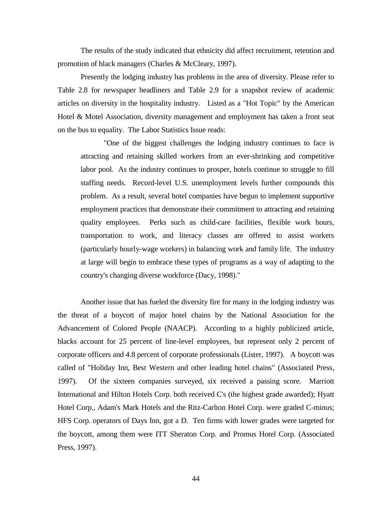The results of the study indicated that ethnicity did affect recruitment, retention and promotion of black managers (Charles & McCleary, 1997).

Presently the lodging industry has problems in the area of diversity. Please refer to Table 2.8 for newspaper headliners and Table 2.9 for a snapshot review of academic articles on diversity in the hospitality industry. Listed as a "Hot Topic" by the American Hotel & Motel Association, diversity management and employment has taken a front seat on the bus to equality. The Labor Statistics Issue reads:

"One of the biggest challenges the lodging industry continues to face is attracting and retaining skilled workers from an ever-shrinking and competitive labor pool. As the industry continues to prosper, hotels continue to struggle to fill staffing needs. Record-level U.S. unemployment levels further compounds this problem. As a result, several hotel companies have begun to implement supportive employment practices that demonstrate their commitment to attracting and retaining quality employees. Perks such as child-care facilities, flexible work hours, transportation to work, and literacy classes are offered to assist workers (particularly hourly-wage workers) in balancing work and family life. The industry at large will begin to embrace these types of programs as a way of adapting to the country's changing diverse workforce (Dacy, 1998)."

Another issue that has fueled the diversity fire for many in the lodging industry was the threat of a boycott of major hotel chains by the National Association for the Advancement of Colored People (NAACP). According to a highly publicized article, blacks account for 25 percent of line-level employees, but represent only 2 percent of corporate officers and 4.8 percent of corporate professionals (Lister, 1997). A boycott was called of "Holiday Inn, Best Western and other leading hotel chains" (Associated Press, 1997). Of the sixteen companies surveyed, six received a passing score. Marriott International and Hilton Hotels Corp. both received C's (the highest grade awarded); Hyatt Hotel Corp., Adam's Mark Hotels and the Ritz-Carlton Hotel Corp. were graded C-minus; HFS Corp. operators of Days Inn, got a D. Ten firms with lower grades were targeted for the boycott, among them were ITT Sheraton Corp. and Promus Hotel Corp. (Associated Press, 1997).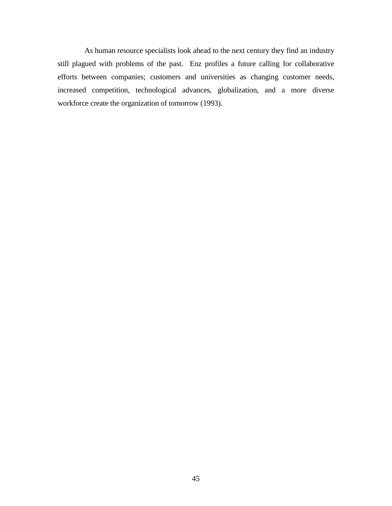As human resource specialists look ahead to the next century they find an industry still plagued with problems of the past. Enz profiles a future calling for collaborative efforts between companies; customers and universities as changing customer needs, increased competition, technological advances, globalization, and a more diverse workforce create the organization of tomorrow (1993).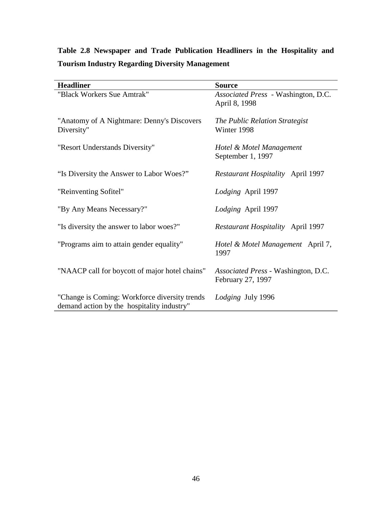# **Table 2.8 Newspaper and Trade Publication Headliners in the Hospitality and Tourism Industry Regarding Diversity Management**

| <b>Headliner</b>                                                                            | <b>Source</b>                                            |
|---------------------------------------------------------------------------------------------|----------------------------------------------------------|
| "Black Workers Sue Amtrak"                                                                  | Associated Press - Washington, D.C.<br>April 8, 1998     |
| "Anatomy of A Nightmare: Denny's Discovers<br>Diversity"                                    | The Public Relation Strategist<br>Winter 1998            |
| "Resort Understands Diversity"                                                              | Hotel & Motel Management<br>September 1, 1997            |
| "Is Diversity the Answer to Labor Woes?"                                                    | <b>Restaurant Hospitality April 1997</b>                 |
| "Reinventing Sofitel"                                                                       | Lodging April 1997                                       |
| "By Any Means Necessary?"                                                                   | Lodging April 1997                                       |
| "Is diversity the answer to labor woes?"                                                    | <b>Restaurant Hospitality</b> April 1997                 |
| "Programs aim to attain gender equality"                                                    | Hotel & Motel Management April 7,<br>1997                |
| "NAACP call for boycott of major hotel chains"                                              | Associated Press - Washington, D.C.<br>February 27, 1997 |
| "Change is Coming: Workforce diversity trends<br>demand action by the hospitality industry" | Lodging July 1996                                        |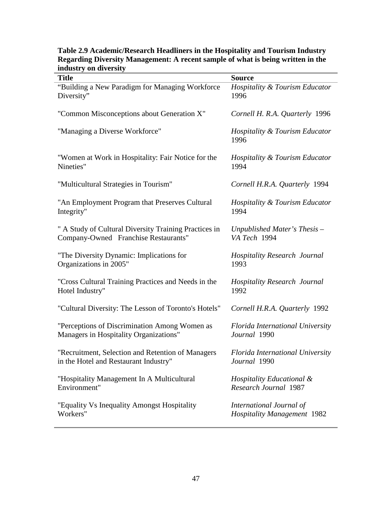## **Table 2.9 Academic/Research Headliners in the Hospitality and Tourism Industry Regarding Diversity Management: A recent sample of what is being written in the industry on diversity**

| manga yan arversiy<br><b>Title</b>                    | <b>Source</b>                                     |
|-------------------------------------------------------|---------------------------------------------------|
| "Building a New Paradigm for Managing Workforce"      | Hospitality & Tourism Educator                    |
| Diversity"                                            | 1996                                              |
| "Common Misconceptions about Generation X"            | Cornell H. R.A. Quarterly 1996                    |
| "Managing a Diverse Workforce"                        | <b>Hospitality &amp; Tourism Educator</b><br>1996 |
| "Women at Work in Hospitality: Fair Notice for the    | Hospitality & Tourism Educator                    |
| Nineties"                                             | 1994                                              |
| "Multicultural Strategies in Tourism"                 | Cornell H.R.A. Quarterly 1994                     |
| "An Employment Program that Preserves Cultural        | Hospitality & Tourism Educator                    |
| Integrity"                                            | 1994                                              |
| " A Study of Cultural Diversity Training Practices in | Unpublished Mater's Thesis -                      |
| Company-Owned Franchise Restaurants"                  | VA Tech 1994                                      |
| "The Diversity Dynamic: Implications for              | <b>Hospitality Research Journal</b>               |
| Organizations in 2005"                                | 1993                                              |
| "Cross Cultural Training Practices and Needs in the   | <b>Hospitality Research Journal</b>               |
| Hotel Industry"                                       | 1992                                              |
| "Cultural Diversity: The Lesson of Toronto's Hotels"  | Cornell H.R.A. Quarterly 1992                     |
| "Perceptions of Discrimination Among Women as         | Florida International University                  |
| Managers in Hospitality Organizations"                | Journal 1990                                      |
| "Recruitment, Selection and Retention of Managers     | <b>Florida International University</b>           |
| in the Hotel and Restaurant Industry"                 | Journal 1990                                      |
| "Hospitality Management In A Multicultural            | Hospitality Educational &                         |
| Environment"                                          | Research Journal 1987                             |
| "Equality Vs Inequality Amongst Hospitality           | International Journal of                          |
| Workers"                                              | <b>Hospitality Management 1982</b>                |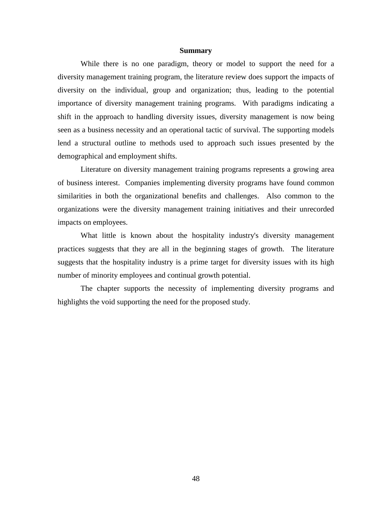#### **Summary**

While there is no one paradigm, theory or model to support the need for a diversity management training program, the literature review does support the impacts of diversity on the individual, group and organization; thus, leading to the potential importance of diversity management training programs. With paradigms indicating a shift in the approach to handling diversity issues, diversity management is now being seen as a business necessity and an operational tactic of survival. The supporting models lend a structural outline to methods used to approach such issues presented by the demographical and employment shifts.

Literature on diversity management training programs represents a growing area of business interest. Companies implementing diversity programs have found common similarities in both the organizational benefits and challenges. Also common to the organizations were the diversity management training initiatives and their unrecorded impacts on employees.

What little is known about the hospitality industry's diversity management practices suggests that they are all in the beginning stages of growth. The literature suggests that the hospitality industry is a prime target for diversity issues with its high number of minority employees and continual growth potential.

The chapter supports the necessity of implementing diversity programs and highlights the void supporting the need for the proposed study.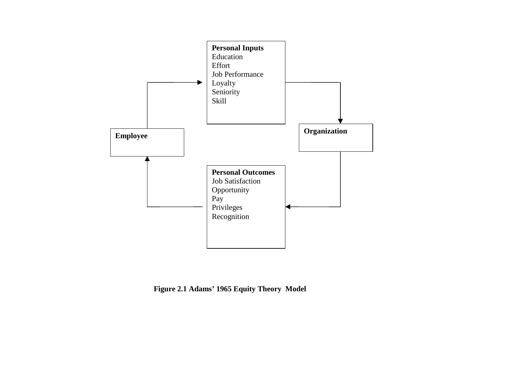

**Figure 2.1 Adams' 1965 Equity Theory Model**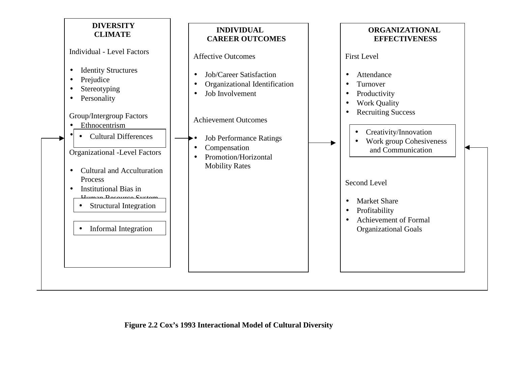

### **Figure 2.2 Cox's 1993 Interactional Model of Cultural Diversity**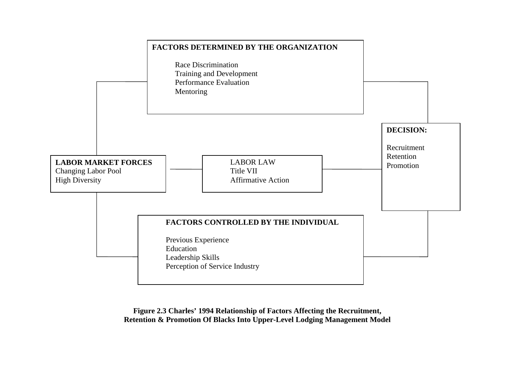

**Figure 2.3 Charles' 1994 Relationship of Factors Affecting the Recruitment, Retention & Promotion Of Blacks Into Upper-Level Lodging Management Model**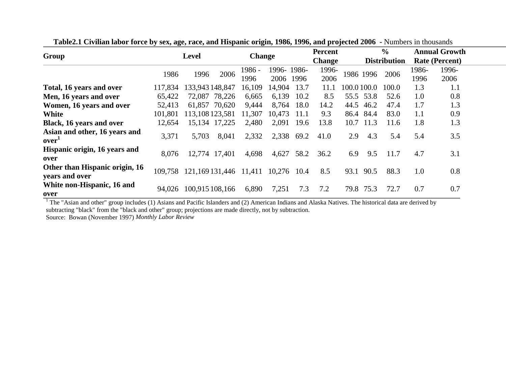| Group                                            |         | <b>Change</b><br><b>Level</b> |                        |        | <b>Percent</b> |               |                     | $\frac{0}{0}$ |      | <b>Annual Growth</b>  |       |       |  |
|--------------------------------------------------|---------|-------------------------------|------------------------|--------|----------------|---------------|---------------------|---------------|------|-----------------------|-------|-------|--|
|                                                  |         |                               |                        |        |                | <b>Change</b> | <b>Distribution</b> |               |      | <b>Rate (Percent)</b> |       |       |  |
|                                                  | 1986    | 1996                          | 2006                   | 1986 - | 1996-1986-     |               | 1996-               |               |      | 2006                  | 1986- | 1996- |  |
|                                                  |         |                               |                        | 1996   | 2006           | 1996          | 2006                | 1986 1996     |      | 1996                  | 2006  |       |  |
| Total, 16 years and over                         | 117,834 | 133,943 148,847               |                        | 16,109 | 14,904         | 13.7          | 11.1                | 100.0 100.0   |      | 100.0                 | 1.3   | 1.1   |  |
| Men, 16 years and over                           | 65,422  | 72,087                        | 78,226                 | 6,665  | 6,139          | 10.2          | 8.5                 | 55.5          | 53.8 | 52.6                  | 1.0   | 0.8   |  |
| Women, 16 years and over                         | 52,413  |                               | 61,857 70,620          | 9,444  | 8,764          | 18.0          | 14.2                | 44.5          | 46.2 | 47.4                  | 1.7   | 1.3   |  |
| White                                            | 101,801 | 113,108 123,581               |                        | 11,307 | 10,473         | 11.1          | 9.3                 | 86.4          | 84.4 | 83.0                  | 1.1   | 0.9   |  |
| Black, 16 years and over                         | 12,654  | 15,134                        | 17,225                 | 2,480  | 2,091          | 19.6          | 13.8                | 10.7          | 11.3 | 11.6                  | 1.8   | 1.3   |  |
| Asian and other, 16 years and<br>over'           | 3,371   | 5,703                         | 8,041                  | 2,332  | 2,338          | 69.2          | 41.0                | 2.9           | 4.3  | 5.4                   | 5.4   | 3.5   |  |
| Hispanic origin, 16 years and<br>over            | 8,076   |                               | 12,774 17,401          | 4,698  | 4,627          | 58.2          | 36.2                | 6.9           | 9.5  | 11.7                  | 4.7   | 3.1   |  |
| Other than Hispanic origin, 16<br>years and over | 109.758 |                               | 121,169 131,446 11,411 |        | 10,276         | 10.4          | 8.5                 | 93.1          | 90.5 | 88.3                  | 1.0   | 0.8   |  |
| White non-Hispanic, 16 and<br>over               | 94,026  |                               | 100,915 108,166        | 6,890  | 7,251          | 7.3           | 7.2                 | 79.8          | 75.3 | 72.7                  | 0.7   | 0.7   |  |

**Table2.1 Civilian labor force by sex, age, race, and Hispanic origin, 1986, 1996, and projected 2006 -** Numbers in thousands

 $1$  The "Asian and other" group includes (1) Asians and Pacific Islanders and (2) American Indians and Alaska Natives. The historical data are derived by subtracting "black" from the "black and other" group; projections are made directly, not by subtraction.

Source: Bowan (November 1997) *Monthly Labor Review*